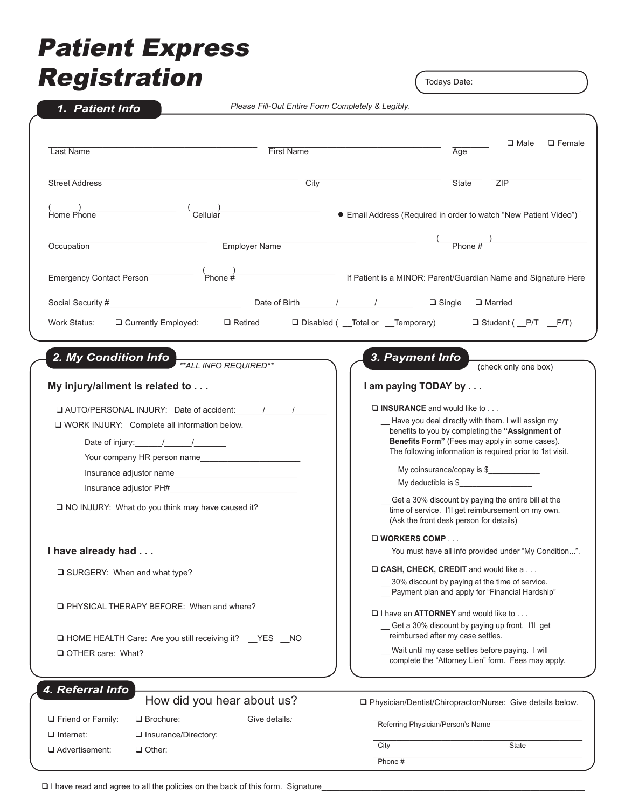# Patient Express Registration

Todays Date:

| 1. Patient Info                                            |                                                                       | Please Fill-Out Entire Form Completely & Legibly.                                                                                                    |                                                                                      |                                                                                                                                                          |                                         |               |  |
|------------------------------------------------------------|-----------------------------------------------------------------------|------------------------------------------------------------------------------------------------------------------------------------------------------|--------------------------------------------------------------------------------------|----------------------------------------------------------------------------------------------------------------------------------------------------------|-----------------------------------------|---------------|--|
|                                                            |                                                                       |                                                                                                                                                      |                                                                                      |                                                                                                                                                          |                                         |               |  |
| <b>Last Name</b>                                           |                                                                       | <b>First Name</b>                                                                                                                                    |                                                                                      | Age                                                                                                                                                      | $\square$ Male                          | $\Box$ Female |  |
| <b>Street Address</b>                                      |                                                                       | City                                                                                                                                                 |                                                                                      | <b>State</b>                                                                                                                                             | ZIP                                     |               |  |
|                                                            |                                                                       |                                                                                                                                                      |                                                                                      |                                                                                                                                                          |                                         |               |  |
| (_______)_________<br>Home Phone                           | $\frac{1}{2}$ Cellular                                                |                                                                                                                                                      | • Email Address (Required in order to watch "New Patient Video")                     |                                                                                                                                                          |                                         |               |  |
| Occupation                                                 |                                                                       | Employer Name                                                                                                                                        |                                                                                      | $\frac{1}{2}$ Phone #                                                                                                                                    |                                         |               |  |
|                                                            |                                                                       |                                                                                                                                                      |                                                                                      |                                                                                                                                                          |                                         |               |  |
| <b>Emergency Contact Person</b>                            | $\frac{2}{\text{Phone #}}$                                            |                                                                                                                                                      | If Patient is a MINOR: Parent/Guardian Name and Signature Here                       |                                                                                                                                                          |                                         |               |  |
|                                                            |                                                                       |                                                                                                                                                      |                                                                                      |                                                                                                                                                          | □ Married                               |               |  |
| Work Status:                                               | $\Box$ Currently Employed:                                            | $\Box$ Retired                                                                                                                                       | □ Disabled ( __Total or __Temporary)                                                 |                                                                                                                                                          | $\Box$ Student ( $\Box$ P/T $\Box$ F/T) |               |  |
|                                                            |                                                                       |                                                                                                                                                      |                                                                                      |                                                                                                                                                          |                                         |               |  |
|                                                            | 2. My Condition Info <b>ACCELANT CONSTRUST</b> ** ALL INFO REQUIRED** |                                                                                                                                                      | 3. Payment Info                                                                      |                                                                                                                                                          | (check only one box)                    |               |  |
| My injury/ailment is related to                            |                                                                       |                                                                                                                                                      |                                                                                      | I am paying TODAY by                                                                                                                                     |                                         |               |  |
| AUTO/PERSONAL INJURY: Date of accident:                    |                                                                       |                                                                                                                                                      |                                                                                      | $\Box$ INSURANCE and would like to                                                                                                                       |                                         |               |  |
| □ WORK INJURY: Complete all information below.             |                                                                       |                                                                                                                                                      |                                                                                      | Have you deal directly with them. I will assign my<br>benefits to you by completing the "Assignment of<br>Benefits Form" (Fees may apply in some cases). |                                         |               |  |
|                                                            |                                                                       |                                                                                                                                                      |                                                                                      |                                                                                                                                                          |                                         |               |  |
| Your company HR person name                                |                                                                       |                                                                                                                                                      | The following information is required prior to 1st visit.                            |                                                                                                                                                          |                                         |               |  |
| Insurance adjustor name                                    |                                                                       |                                                                                                                                                      |                                                                                      | My coinsurance/copay is \$                                                                                                                               |                                         |               |  |
| Insurance adjustor PH#                                     |                                                                       |                                                                                                                                                      | My deductible is \$                                                                  |                                                                                                                                                          |                                         |               |  |
|                                                            | NO INJURY: What do you think may have caused it?                      | Get a 30% discount by paying the entire bill at the<br>time of service. I'll get reimbursement on my own.<br>(Ask the front desk person for details) |                                                                                      |                                                                                                                                                          |                                         |               |  |
|                                                            |                                                                       |                                                                                                                                                      | $\square$ WORKERS COMP                                                               |                                                                                                                                                          |                                         |               |  |
|                                                            | I have already had                                                    |                                                                                                                                                      |                                                                                      | You must have all info provided under "My Condition".                                                                                                    |                                         |               |  |
| □ SURGERY: When and what type?                             |                                                                       |                                                                                                                                                      |                                                                                      | □ CASH, CHECK, CREDIT and would like a                                                                                                                   |                                         |               |  |
|                                                            |                                                                       |                                                                                                                                                      |                                                                                      | 30% discount by paying at the time of service.                                                                                                           |                                         |               |  |
|                                                            | <b>Q PHYSICAL THERAPY BEFORE:</b> When and where?                     |                                                                                                                                                      |                                                                                      | - Payment plan and apply for "Financial Hardship"                                                                                                        |                                         |               |  |
|                                                            |                                                                       |                                                                                                                                                      |                                                                                      | $\Box$ I have an <b>ATTORNEY</b> and would like to $\Box$                                                                                                |                                         |               |  |
|                                                            |                                                                       |                                                                                                                                                      | Get a 30% discount by paying up front. I'll get<br>reimbursed after my case settles. |                                                                                                                                                          |                                         |               |  |
| I HOME HEALTH Care: Are you still receiving it? __YES __NO |                                                                       |                                                                                                                                                      |                                                                                      | Wait until my case settles before paying. I will                                                                                                         |                                         |               |  |
| OTHER care: What?                                          |                                                                       |                                                                                                                                                      |                                                                                      | complete the "Attorney Lien" form. Fees may apply.                                                                                                       |                                         |               |  |
| 4. Referral Info                                           |                                                                       |                                                                                                                                                      |                                                                                      |                                                                                                                                                          |                                         |               |  |
|                                                            | How did you hear about us?                                            |                                                                                                                                                      | □ Physician/Dentist/Chiropractor/Nurse: Give details below.                          |                                                                                                                                                          |                                         |               |  |
| $\Box$ Friend or Family:                                   | $\Box$ Brochure:                                                      | Give details:                                                                                                                                        |                                                                                      | Referring Physician/Person's Name                                                                                                                        |                                         |               |  |
| $\Box$ Internet:                                           | Insurance/Directory:                                                  |                                                                                                                                                      |                                                                                      |                                                                                                                                                          |                                         |               |  |
| □ Advertisement:                                           | $\Box$ Other:                                                         |                                                                                                                                                      | City                                                                                 |                                                                                                                                                          | <b>State</b>                            |               |  |
|                                                            |                                                                       |                                                                                                                                                      | Phone#                                                                               |                                                                                                                                                          |                                         |               |  |

 $\square$  I have read and agree to all the policies on the back of this form. Signature\_